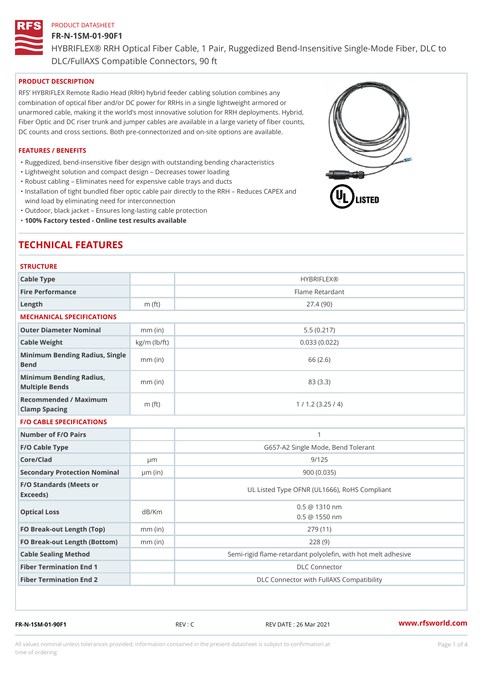# FR-N-1SM-01-90F1

HYBRIFLEX® RRH Optical Fiber Cable, 1 Pair, Ruggedized Bend-Insens DLC/FullAXS Compatible Connectors, 90 ft

# PRODUCT DESCRIPTION

RFS HYBRIFLEX Remote Radio Head (RRH) hybrid feeder cabling solution combines any combination of optical fiber and/or DC power for RRHs in a single lightweight armored or unarmored cable, making it the world s most innovative solution for RRH deployments. Hybrid, Fiber Optic and DC riser trunk and jumper cables are available in a large variety of fiber counts, DC counts and cross sections. Both pre-connectorized and on-site options are available.

#### FEATURES / BENEFITS

"Ruggedized, bend-insensitive fiber design with outstanding bending characteristics

- "Lightweight solution and compact design Decreases tower loading
- "Robust cabling Eliminates need for expensive cable trays and ducts
- "Installation of tight bundled fiber optic cable pair directly to the RRH Aeduces CAPEX and wind load by eliminating need for interconnection
- "Outdoor, black jacket Ensures long-lasting cable protection
- "100% Factory tested Online test results available

# TECHNICAL FEATURES

## **STRUCTURE**

| Cable Type                                        |                    | <b>HYBRIFLEX®</b>                                       |
|---------------------------------------------------|--------------------|---------------------------------------------------------|
| Fire Performance                                  |                    | Flame Retardant                                         |
| Length                                            | m $(ft)$           | 27.4(90)                                                |
| MECHANICAL SPECIFICATIONS                         |                    |                                                         |
| Outer Diameter Nominal                            | $mm$ (in)          | 5.5(0.217)                                              |
| Cable Weight                                      | $kg/m$ ( $lb/ft$ ) | 0.033(0.022)                                            |
| Minimum Bending Radius, Single<br>Bend            |                    | 66 (2.6)                                                |
| Minimum Bending Radius, mm (in)<br>Multiple Bends |                    | 83 (3.3)                                                |
| Recommended / Maximum<br>Clamp Spacing            | $m$ (ft)           | 1 / 1.2 (3.25 / 4)                                      |
| <b>F/O CABLE SPECIFICATIONS</b>                   |                    |                                                         |
| Number of F/O Pairs                               |                    | $\mathbf{1}$                                            |
| F/O Cable Type                                    |                    | G657-A2 Single Mode, Bend Tolerant                      |
| Core/Clad                                         | $\mu$ m            | 9/125                                                   |
| Secondary Protection Nomimal(in)                  |                    | 900 (0.035)                                             |
| F/O Standards (Meets or<br>Exceeds)               |                    | UL Listed Type OFNR (UL1666), RoHS Compliant            |
| Optical Loss                                      | dB/Km              | $0.5 \ @ \ 1310 \ nm$<br>$0.5 \t@ 1550 nm$              |
| FO Break-out Length (Top)mm (in)                  |                    | 279 (11)                                                |
| FO Break-out Length (Bottomm) (in)                |                    | 228(9)                                                  |
| Cable Sealing Method                              |                    | Semi-rigid flame-retardant polyolefin, with hot melt ad |
| Fiber Termination End                             |                    | <b>DLC</b> Connector                                    |
| Fiber Termination End 2                           |                    | DLC Connector with FullAXS Compatibility                |

FR-N-1SM-01-90F1 REV : C REV DATE : 26 Mar 2021 [www.](https://www.rfsworld.com)rfsworld.com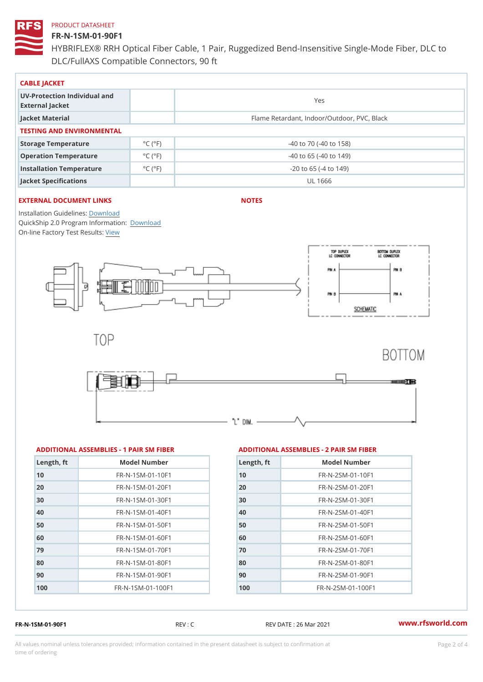## FR-N-1SM-01-90F1

HYBRIFLEX® RRH Optical Fiber Cable, 1 Pair, Ruggedized Bend-Insens DLC/FullAXS Compatible Connectors, 90 ft

| CABLE JACKET                                    |                             |                                             |  |  |  |
|-------------------------------------------------|-----------------------------|---------------------------------------------|--|--|--|
| UV-Protection Individual and<br>External Jacket |                             | Yes                                         |  |  |  |
| Jacket Material                                 |                             | Flame Retardant, Indoor/Outdoor, PVC, Black |  |  |  |
| TESTING AND ENVIRONMENTAL                       |                             |                                             |  |  |  |
| Storage Temperature                             | $^{\circ}$ C ( $^{\circ}$ F | $-40$ to $70$ ( $-40$ to $158$ )            |  |  |  |
| Operation Temperature                           | $^{\circ}$ C ( $^{\circ}$ F | $-40$ to 65 ( $-40$ to 149)                 |  |  |  |
| Installation Temperature                        | $^{\circ}$ C ( $^{\circ}$ F | $-20$ to 65 ( $-4$ to 149)                  |  |  |  |
| Jacket Specifications                           |                             | UL 1666                                     |  |  |  |

# EXTERNAL DOCUMENT LINKS

NOTES

Installation Guidelwinessad QuickShip 2.0 Program [Informa](http://www.rfsworld.com/images/hybriflex/quickship_program_2.pdf)tion: On-line Factory Te[s](https://www.rfsworld.com/pictures/userfiles/programs/AAST Latest Version.zip)teResults:

| ADDITIONAL ASSEMBLIES - 1 PAIR SM FIBEARD DITIONAL ASSEMBLIES - 2 PAIR SM FIBER |  |  |  |  |  |
|---------------------------------------------------------------------------------|--|--|--|--|--|
|---------------------------------------------------------------------------------|--|--|--|--|--|

| Model Number<br>Length, ft      |
|---------------------------------|
| $FR - N - 1$ S M - 01 - 10 F 1  |
| $FR - N - 1$ S M - 01 - 20 F 1  |
| FR-N-1SM-01-30F1                |
| $FR - N - 1$ S M - 01 - 40 F 1  |
| $FR - N - 1$ S M - 01 - 50 F 1  |
| $FR - N - 1$ S M - 01 - 60 F 1  |
| $FR - N - 1$ S M - 01 - 70 F 1  |
| $FR - N - 1$ S M - 01 - 80 F 1  |
| $FR - N - 1$ S M - 01 - 90 F 1  |
| $FR - N - 1$ S M - 01 - 100 F 1 |
|                                 |

|            | LAW DIIIVIN ALAU CLIMBLILU LA IAIN UI |
|------------|---------------------------------------|
| Length, ft | Model Number                          |
| 10         | FR-N-2SM-01-10F1                      |
| 20         | $FR - N - 2SM - 01 - 20F1$            |
| 30         | $FR - N - 2 SM - 01 - 30 F1$          |
| 40         | $FR - N - 2 SM - 01 - 40 F1$          |
| 50         | $FR - N - 2 SM - 01 - 50 F1$          |
| 60         | $FR - N - 2 SM - 01 - 60 F1$          |
| 70         | $FR - N - 2 SM - 01 - 70 F1$          |
| 80         | $FR - N - 2 SM - 01 - 80 F1$          |
| 90         | $FR - N - 2 SM - 01 - 90 F1$          |
| 100        | $FR - N - 2SM - 01 - 100F1$           |
|            |                                       |

FR-N-1SM-01-90F1 REV : C REV DATE : 26 Mar 2021 [www.](https://www.rfsworld.com)rfsworld.com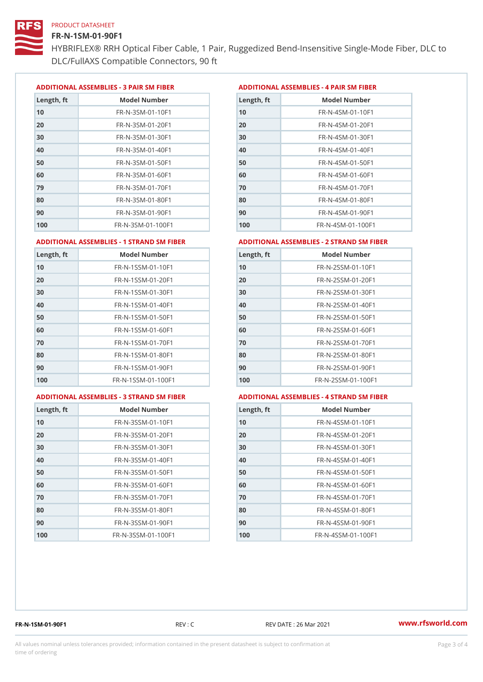#### FR-N-1SM-01-90F1

HYBRIFLEX® RRH Optical Fiber Cable, 1 Pair, Ruggedized Bend-Insens DLC/FullAXS Compatible Connectors, 90 ft

ADDITIONAL ASSEMBLIES - 3 PAIR SM FIBERED DITIONAL ASSEMBLIES - 4 PAIR SM FIBER

| Length, ft | Model Number                  |
|------------|-------------------------------|
| 10         | $FR - N - 3 S M - 01 - 10 F1$ |
| 20         | FR-N-3SM-01-20F1              |
| 30         | FR-N-3SM-01-30F1              |
| 40         | FR-N-3SM-01-40F1              |
| 50         | $FR - N - 3 S M - 01 - 50 F1$ |
| 60         | $FR - N - 3 S M - 01 - 60 F1$ |
| 79         | $FR - N - 3 S M - 01 - 70 F1$ |
| 80         | $FR - N - 3 S M - 01 - 80 F1$ |
| 90         | FR-N-3SM-01-90F1              |
| 100        | FR-N-3SM-01-100F1             |

| Length, ft | Model Number                   |
|------------|--------------------------------|
| 10         | $FR - N - 4$ S M - 01 - 10 F 1 |
| 20         | $FR - N - 4 SM - 01 - 20 F1$   |
| 30         | $FR - N - 4 S M - 01 - 30 F1$  |
| 40         | FR-N-4SM-01-40F1               |
| 50         | FR-N-4SM-01-50F1               |
| 60         | $FR - N - 4 S M - 01 - 60 F1$  |
| 70         | FR-N-4SM-01-70F1               |
| 80         | $FR - N - 4 S M - 01 - 80 F1$  |
| 90         | FR-N-4SM-01-90F1               |
| 100        | $FR - N - 4 S M - 01 - 100 F1$ |

#### ADDITIONAL ASSEMBLIES - 1 STRAND SM FABSDRTIONAL ASSEMBLIES - 2 STRAND SM FIBER

| FR-N-1SSM-01-10F1<br>10<br>FR-N-1SSM-01-20F1<br>20<br>FR-N-1SSM-01-30F1<br>30<br>$FR - N - 1$ S S M - 01 - 40 F 1<br>40<br>$FR - N - 1$ S S M - 01 - 50 F 1<br>50<br>FR-N-1SSM-01-60F1<br>60<br>$FR - N - 1$ S S M - 01 - 70 F 1<br>70<br>FR-N-1SSM-01-80F1<br>80<br>$FR - N - 1$ S S M - 01 - 90 F 1<br>90<br>FR-N-1SSM-01-100F1<br>100 | Length, ft | Model Number | Length, ft | Model Number                     |
|------------------------------------------------------------------------------------------------------------------------------------------------------------------------------------------------------------------------------------------------------------------------------------------------------------------------------------------|------------|--------------|------------|----------------------------------|
| 100                                                                                                                                                                                                                                                                                                                                      | 10         |              |            | FR-N-2SSM-01-10F1                |
| 30<br>50<br>60<br>80<br>90                                                                                                                                                                                                                                                                                                               | 20         |              |            | $FR - N - 2SSM - 01 - 20F1$      |
| 40<br>70                                                                                                                                                                                                                                                                                                                                 |            |              |            | $FR - N - 2SSM - 01 - 30F1$      |
|                                                                                                                                                                                                                                                                                                                                          |            |              |            | $FR - N - 2$ S S M - 01 - 40 F 1 |
|                                                                                                                                                                                                                                                                                                                                          |            |              |            | FR-N-2SSM-01-50F1                |
|                                                                                                                                                                                                                                                                                                                                          |            |              |            | $FR - N - 2SSM - 01 - 60F1$      |
|                                                                                                                                                                                                                                                                                                                                          |            |              |            | $FR - N - 2SSM - 01 - 70F1$      |
|                                                                                                                                                                                                                                                                                                                                          |            |              |            | FR-N-2SSM-01-80F1                |
|                                                                                                                                                                                                                                                                                                                                          |            |              |            | $FR - N - 2SSM - 01 - 90F1$      |
|                                                                                                                                                                                                                                                                                                                                          |            |              |            | FR-N-2SSM-01-100F1               |

#### ADDITIONAL ASSEMBLIES - 3 STRAND SM FABSDRTIONAL ASSEMBLIES - 4 STRAND SM FIBER

| Length, ft | Model Number                    |
|------------|---------------------------------|
| 10         | $FR - N - 3 S S M - 01 - 10 F1$ |
| 20         | FR-N-3SSM-01-20F1               |
| 30         | FR-N-3SSM-01-30F1               |
| 40         | FR-N-3SSM-01-40F1               |
| 50         | $FR - N - 3 S S M - 01 - 50 F1$ |
| 60         | FR-N-3SSM-01-60F1               |
| 70         | $FR - N - 3 S S M - 01 - 70 F1$ |
| 80         | $FR - N - 3 S S M - 01 - 80 F1$ |
| 90         | FR-N-3SSM-01-90F1               |
| 100        | FR-N-3SSM-01-100F1              |

| Length, ft | Model Number                     |
|------------|----------------------------------|
| 10         | $FR - N - 4$ S S M - 01 - 10 F 1 |
| 20         | $FR - N - 4$ S S M - 01 - 20 F 1 |
| 30         | FR-N-4SSM-01-30F1                |
| 40         | $FR - N - 4$ S S M - 01 - 40 F 1 |
| 50         | $FR - N - 4$ S S M - 01 - 50 F 1 |
| 60         | FR-N-4SSM-01-60F1                |
| 70         | $FR - N - 4$ S S M - 01 - 70 F 1 |
| 80         | FR-N-4SSM-01-80F1                |
| 90         | $FR - N - 4$ S S M - 01 - 90 F 1 |
| 100        | FR-N-4SSM-01-100F1               |

FR-N-1SM-01-90F1 REV : C REV DATE : 26 Mar 2021 [www.](https://www.rfsworld.com)rfsworld.com

All values nominal unless tolerances provided; information contained in the present datasheet is subject to Pcapgeling that i time of ordering